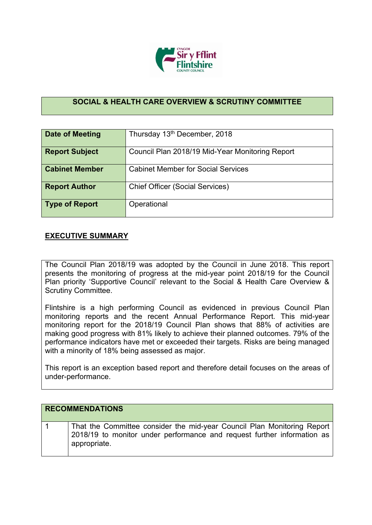

## **SOCIAL & HEALTH CARE OVERVIEW & SCRUTINY COMMITTEE**

| <b>Date of Meeting</b> | Thursday 13th December, 2018                    |
|------------------------|-------------------------------------------------|
| <b>Report Subject</b>  | Council Plan 2018/19 Mid-Year Monitoring Report |
| <b>Cabinet Member</b>  | <b>Cabinet Member for Social Services</b>       |
| <b>Report Author</b>   | <b>Chief Officer (Social Services)</b>          |
| <b>Type of Report</b>  | Operational                                     |

## **EXECUTIVE SUMMARY**

The Council Plan 2018/19 was adopted by the Council in June 2018. This report presents the monitoring of progress at the mid-year point 2018/19 for the Council Plan priority 'Supportive Council' relevant to the Social & Health Care Overview & Scrutiny Committee.

Flintshire is a high performing Council as evidenced in previous Council Plan monitoring reports and the recent Annual Performance Report. This mid-year monitoring report for the 2018/19 Council Plan shows that 88% of activities are making good progress with 81% likely to achieve their planned outcomes. 79% of the performance indicators have met or exceeded their targets. Risks are being managed with a minority of 18% being assessed as major.

This report is an exception based report and therefore detail focuses on the areas of under-performance.

| <b>RECOMMENDATIONS</b>                                                                                                                                             |
|--------------------------------------------------------------------------------------------------------------------------------------------------------------------|
| That the Committee consider the mid-year Council Plan Monitoring Report<br>2018/19 to monitor under performance and request further information as<br>appropriate. |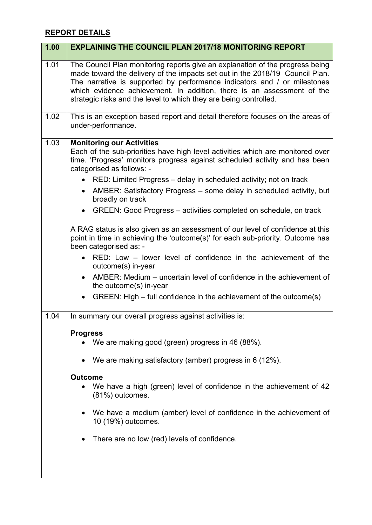## **REPORT DETAILS**

| 1.00 | <b>EXPLAINING THE COUNCIL PLAN 2017/18 MONITORING REPORT</b>                                                                                                                                                                                                                                                                                                                                                                                                          |
|------|-----------------------------------------------------------------------------------------------------------------------------------------------------------------------------------------------------------------------------------------------------------------------------------------------------------------------------------------------------------------------------------------------------------------------------------------------------------------------|
| 1.01 | The Council Plan monitoring reports give an explanation of the progress being<br>made toward the delivery of the impacts set out in the 2018/19 Council Plan.<br>The narrative is supported by performance indicators and / or milestones<br>which evidence achievement. In addition, there is an assessment of the<br>strategic risks and the level to which they are being controlled.                                                                              |
| 1.02 | This is an exception based report and detail therefore focuses on the areas of<br>under-performance.                                                                                                                                                                                                                                                                                                                                                                  |
| 1.03 | <b>Monitoring our Activities</b><br>Each of the sub-priorities have high level activities which are monitored over<br>time. 'Progress' monitors progress against scheduled activity and has been<br>categorised as follows: -<br>• RED: Limited Progress – delay in scheduled activity; not on track<br>AMBER: Satisfactory Progress – some delay in scheduled activity, but<br>broadly on track<br>GREEN: Good Progress – activities completed on schedule, on track |
|      | A RAG status is also given as an assessment of our level of confidence at this<br>point in time in achieving the 'outcome(s)' for each sub-priority. Outcome has<br>been categorised as: -<br>RED: Low – lower level of confidence in the achievement of the<br>outcome(s) in-year<br>AMBER: Medium – uncertain level of confidence in the achievement of<br>the outcome(s) in-year<br>GREEN: High – full confidence in the achievement of the outcome(s)             |
| 1.04 | In summary our overall progress against activities is:                                                                                                                                                                                                                                                                                                                                                                                                                |
|      | <b>Progress</b><br>We are making good (green) progress in 46 (88%).                                                                                                                                                                                                                                                                                                                                                                                                   |
|      | We are making satisfactory (amber) progress in 6 (12%).                                                                                                                                                                                                                                                                                                                                                                                                               |
|      | <b>Outcome</b><br>We have a high (green) level of confidence in the achievement of 42<br>(81%) outcomes.                                                                                                                                                                                                                                                                                                                                                              |
|      | We have a medium (amber) level of confidence in the achievement of<br>10 (19%) outcomes.                                                                                                                                                                                                                                                                                                                                                                              |
|      | There are no low (red) levels of confidence.                                                                                                                                                                                                                                                                                                                                                                                                                          |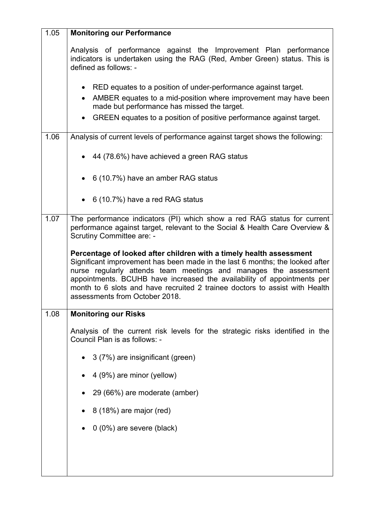| 1.05 | <b>Monitoring our Performance</b>                                                                                                                                                                                                                                                                                                                                                                                   |  |  |  |  |  |  |
|------|---------------------------------------------------------------------------------------------------------------------------------------------------------------------------------------------------------------------------------------------------------------------------------------------------------------------------------------------------------------------------------------------------------------------|--|--|--|--|--|--|
|      | Analysis of performance against the Improvement Plan performance<br>indicators is undertaken using the RAG (Red, Amber Green) status. This is<br>defined as follows: -                                                                                                                                                                                                                                              |  |  |  |  |  |  |
|      | RED equates to a position of under-performance against target.                                                                                                                                                                                                                                                                                                                                                      |  |  |  |  |  |  |
|      | AMBER equates to a mid-position where improvement may have been<br>$\bullet$<br>made but performance has missed the target.                                                                                                                                                                                                                                                                                         |  |  |  |  |  |  |
|      | GREEN equates to a position of positive performance against target.                                                                                                                                                                                                                                                                                                                                                 |  |  |  |  |  |  |
| 1.06 | Analysis of current levels of performance against target shows the following:                                                                                                                                                                                                                                                                                                                                       |  |  |  |  |  |  |
|      | 44 (78.6%) have achieved a green RAG status                                                                                                                                                                                                                                                                                                                                                                         |  |  |  |  |  |  |
|      | 6 (10.7%) have an amber RAG status                                                                                                                                                                                                                                                                                                                                                                                  |  |  |  |  |  |  |
|      | $\bullet$ 6 (10.7%) have a red RAG status                                                                                                                                                                                                                                                                                                                                                                           |  |  |  |  |  |  |
| 1.07 | The performance indicators (PI) which show a red RAG status for current<br>performance against target, relevant to the Social & Health Care Overview &<br>Scrutiny Committee are: -                                                                                                                                                                                                                                 |  |  |  |  |  |  |
|      | Percentage of looked after children with a timely health assessment<br>Significant improvement has been made in the last 6 months; the looked after<br>nurse regularly attends team meetings and manages the assessment<br>appointments. BCUHB have increased the availability of appointments per<br>month to 6 slots and have recruited 2 trainee doctors to assist with Health<br>assessments from October 2018. |  |  |  |  |  |  |
| 1.08 | <b>Monitoring our Risks</b>                                                                                                                                                                                                                                                                                                                                                                                         |  |  |  |  |  |  |
|      | Analysis of the current risk levels for the strategic risks identified in the<br>Council Plan is as follows: -                                                                                                                                                                                                                                                                                                      |  |  |  |  |  |  |
|      | 3 (7%) are insignificant (green)                                                                                                                                                                                                                                                                                                                                                                                    |  |  |  |  |  |  |
|      | 4 (9%) are minor (yellow)                                                                                                                                                                                                                                                                                                                                                                                           |  |  |  |  |  |  |
|      | 29 (66%) are moderate (amber)                                                                                                                                                                                                                                                                                                                                                                                       |  |  |  |  |  |  |
|      | 8 (18%) are major (red)                                                                                                                                                                                                                                                                                                                                                                                             |  |  |  |  |  |  |
|      | $0(0\%)$ are severe (black)                                                                                                                                                                                                                                                                                                                                                                                         |  |  |  |  |  |  |
|      |                                                                                                                                                                                                                                                                                                                                                                                                                     |  |  |  |  |  |  |
|      |                                                                                                                                                                                                                                                                                                                                                                                                                     |  |  |  |  |  |  |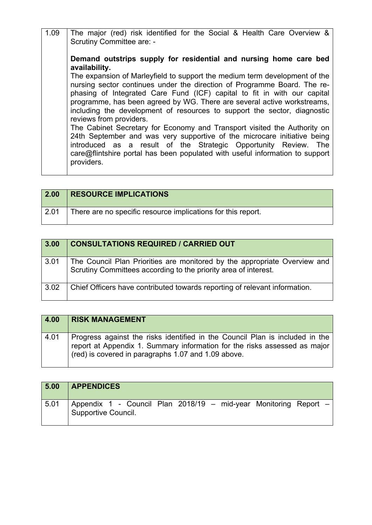| 1.09 | The major (red) risk identified for the Social & Health Care Overview &<br><b>Scrutiny Committee are: -</b>                                                                                                                                                                                                                                                                                                          |
|------|----------------------------------------------------------------------------------------------------------------------------------------------------------------------------------------------------------------------------------------------------------------------------------------------------------------------------------------------------------------------------------------------------------------------|
|      | Demand outstrips supply for residential and nursing home care bed<br>availability.                                                                                                                                                                                                                                                                                                                                   |
|      | The expansion of Marleyfield to support the medium term development of the<br>nursing sector continues under the direction of Programme Board. The re-<br>phasing of Integrated Care Fund (ICF) capital to fit in with our capital<br>programme, has been agreed by WG. There are several active workstreams,<br>including the development of resources to support the sector, diagnostic<br>reviews from providers. |
|      | The Cabinet Secretary for Economy and Transport visited the Authority on<br>24th September and was very supportive of the microcare initiative being<br>introduced as a result of the Strategic Opportunity Review. The<br>care@flintshire portal has been populated with useful information to support<br>providers.                                                                                                |

| 2.00 | <b>RESOURCE IMPLICATIONS</b>                                 |
|------|--------------------------------------------------------------|
| 2.01 | There are no specific resource implications for this report. |

| 3.00 | <b>CONSULTATIONS REQUIRED / CARRIED OUT</b>                                                                                                  |
|------|----------------------------------------------------------------------------------------------------------------------------------------------|
| 3.01 | The Council Plan Priorities are monitored by the appropriate Overview and<br>Scrutiny Committees according to the priority area of interest. |
| 3.02 | Chief Officers have contributed towards reporting of relevant information.                                                                   |

| 4.00 | <b>RISK MANAGEMENT</b>                                                                                                                                                                                           |
|------|------------------------------------------------------------------------------------------------------------------------------------------------------------------------------------------------------------------|
| 4.01 | Progress against the risks identified in the Council Plan is included in the<br>report at Appendix 1. Summary information for the risks assessed as major<br>(red) is covered in paragraphs 1.07 and 1.09 above. |

| 5.00 | <b>APPENDICES</b>                                                                       |
|------|-----------------------------------------------------------------------------------------|
| 5.01 | Appendix 1 - Council Plan 2018/19 – mid-year Monitoring Report –<br>Supportive Council. |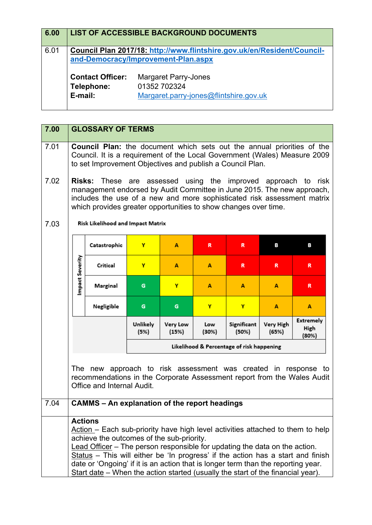| 6.00 |                                                                                                                | <b>LIST OF ACCESSIBLE BACKGROUND DOCUMENTS</b>                                        |  |  |  |  |
|------|----------------------------------------------------------------------------------------------------------------|---------------------------------------------------------------------------------------|--|--|--|--|
| 6.01 | Council Plan 2017/18: http://www.flintshire.gov.uk/en/Resident/Council-<br>and-Democracy/Improvement-Plan.aspx |                                                                                       |  |  |  |  |
|      | <b>Contact Officer:</b><br>Telephone:<br>E-mail:                                                               | <b>Margaret Parry-Jones</b><br>01352 702324<br>Margaret.parry-jones@flintshire.gov.uk |  |  |  |  |

| 7.00 | <b>GLOSSARY OF TERMS</b>                                                                                                                                                                                                                                                                                                                                                                                                                                                               |                                                                                                                                                                         |                  |                          |              |                      |                    |                                   |  |
|------|----------------------------------------------------------------------------------------------------------------------------------------------------------------------------------------------------------------------------------------------------------------------------------------------------------------------------------------------------------------------------------------------------------------------------------------------------------------------------------------|-------------------------------------------------------------------------------------------------------------------------------------------------------------------------|------------------|--------------------------|--------------|----------------------|--------------------|-----------------------------------|--|
| 7.01 | <b>Council Plan:</b> the document which sets out the annual priorities of the<br>Council. It is a requirement of the Local Government (Wales) Measure 2009<br>to set Improvement Objectives and publish a Council Plan.                                                                                                                                                                                                                                                                |                                                                                                                                                                         |                  |                          |              |                      |                    |                                   |  |
| 7.02 | <b>Risks:</b> These are assessed using the improved approach to risk<br>management endorsed by Audit Committee in June 2015. The new approach,<br>includes the use of a new and more sophisticated risk assessment matrix<br>which provides greater opportunities to show changes over time.                                                                                                                                                                                           |                                                                                                                                                                         |                  |                          |              |                      |                    |                                   |  |
| 7.03 |                                                                                                                                                                                                                                                                                                                                                                                                                                                                                        | Risk Likelihood and Impact Matrix                                                                                                                                       |                  |                          |              |                      |                    |                                   |  |
|      |                                                                                                                                                                                                                                                                                                                                                                                                                                                                                        | Catastrophic                                                                                                                                                            | Y                | А                        | R            | R                    | В                  | в                                 |  |
|      | Impact Severity                                                                                                                                                                                                                                                                                                                                                                                                                                                                        | Critical                                                                                                                                                                | Y                | A                        | A            | R                    | R                  | R.                                |  |
|      |                                                                                                                                                                                                                                                                                                                                                                                                                                                                                        | Marginal                                                                                                                                                                | G                | Y                        | A            | A                    | A                  | R                                 |  |
|      |                                                                                                                                                                                                                                                                                                                                                                                                                                                                                        | Negligible                                                                                                                                                              | G                | G                        | Y            | Y                    | A                  | A                                 |  |
|      |                                                                                                                                                                                                                                                                                                                                                                                                                                                                                        |                                                                                                                                                                         | Unlikely<br>(5%) | <b>Very Low</b><br>(15%) | Low<br>(30%) | Significant<br>(50%) | Very High<br>(65%) | <b>Extremely</b><br>High<br>(80%) |  |
|      | Likelihood & Percentage of risk happening                                                                                                                                                                                                                                                                                                                                                                                                                                              |                                                                                                                                                                         |                  |                          |              |                      |                    |                                   |  |
|      |                                                                                                                                                                                                                                                                                                                                                                                                                                                                                        | The new approach to risk assessment was created in response to<br>recommendations in the Corporate Assessment report from the Wales Audit<br>Office and Internal Audit. |                  |                          |              |                      |                    |                                   |  |
| 7.04 | <b>CAMMS - An explanation of the report headings</b>                                                                                                                                                                                                                                                                                                                                                                                                                                   |                                                                                                                                                                         |                  |                          |              |                      |                    |                                   |  |
|      | <b>Actions</b><br>Action – Each sub-priority have high level activities attached to them to help<br>achieve the outcomes of the sub-priority.<br>Lead Officer - The person responsible for updating the data on the action.<br>Status - This will either be 'In progress' if the action has a start and finish<br>date or 'Ongoing' if it is an action that is longer term than the reporting year.<br>Start date – When the action started (usually the start of the financial year). |                                                                                                                                                                         |                  |                          |              |                      |                    |                                   |  |